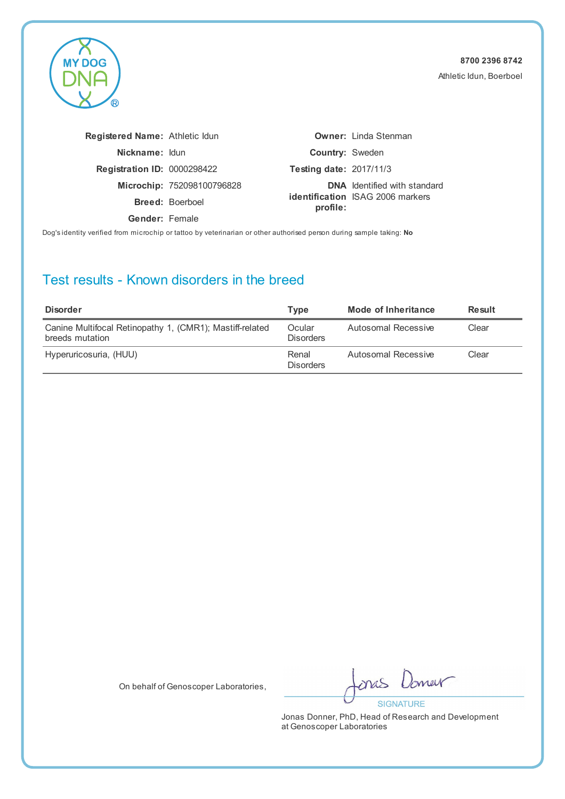

| <b>Registered Name: Athletic Idun</b> |                            |                                | <b>Owner:</b> Linda Stenman             |
|---------------------------------------|----------------------------|--------------------------------|-----------------------------------------|
| Nickname: Idun                        |                            | <b>Country: Sweden</b>         |                                         |
| <b>Registration ID: 0000298422</b>    |                            | <b>Testing date: 2017/11/3</b> |                                         |
|                                       | Microchip: 752098100796828 |                                | <b>DNA</b> Identified with standard     |
|                                       | <b>Breed: Boerboel</b>     | profile:                       | <b>identification</b> ISAG 2006 markers |
| Gender: Female                        |                            |                                |                                         |

Dog's identity verified from microchip or tattoo by veterinarian or other authorised person during sample taking: **No**

### Test results - Known disorders in the breed

| <b>Disorder</b>                                                             | Tvpe                       | Mode of Inheritance | <b>Result</b> |
|-----------------------------------------------------------------------------|----------------------------|---------------------|---------------|
| Canine Multifocal Retinopathy 1, (CMR1); Mastiff-related<br>breeds mutation | Ocular<br><b>Disorders</b> | Autosomal Recessive | Clear         |
| Hyperuricosuria, (HUU)                                                      | Renal<br><b>Disorders</b>  | Autosomal Recessive | Clear         |

On behalf of Genoscoper Laboratories,

merr ones **SIGNATURE**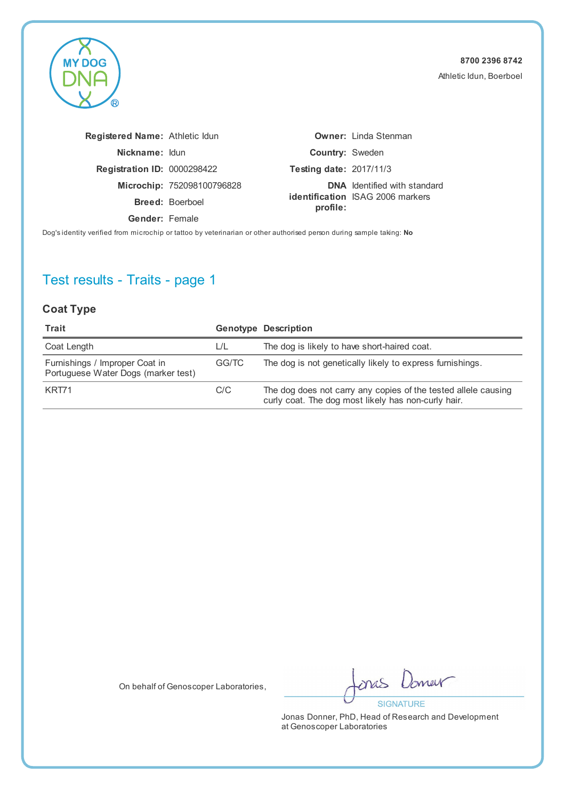

| Registered Name: Athletic Idun     |                            |                                | <b>Owner: Linda Stenman</b>             |
|------------------------------------|----------------------------|--------------------------------|-----------------------------------------|
| Nickname: Idun                     |                            | <b>Country: Sweden</b>         |                                         |
| <b>Registration ID: 0000298422</b> |                            | <b>Testing date: 2017/11/3</b> |                                         |
|                                    | Microchip: 752098100796828 |                                | <b>DNA</b> Identified with standard     |
|                                    | <b>Breed: Boerboel</b>     | profile:                       | <b>identification</b> ISAG 2006 markers |
| <b>Gender: Female</b>              |                            |                                |                                         |
|                                    |                            |                                |                                         |

Dog's identity verified from microchip or tattoo by veterinarian or other authorised person during sample taking: **No**

# Test results - Traits - page 1

#### **Coat Type**

| Trait                                                                 |       | <b>Genotype Description</b>                                                                                           |
|-----------------------------------------------------------------------|-------|-----------------------------------------------------------------------------------------------------------------------|
| Coat Length                                                           | L/L   | The dog is likely to have short-haired coat.                                                                          |
| Furnishings / Improper Coat in<br>Portuguese Water Dogs (marker test) | GG/TC | The dog is not genetically likely to express furnishings.                                                             |
| KRT71                                                                 | C/C   | The dog does not carry any copies of the tested allele causing<br>curly coat. The dog most likely has non-curly hair. |

On behalf of Genoscoper Laboratories,

new onas **SIGNATURE**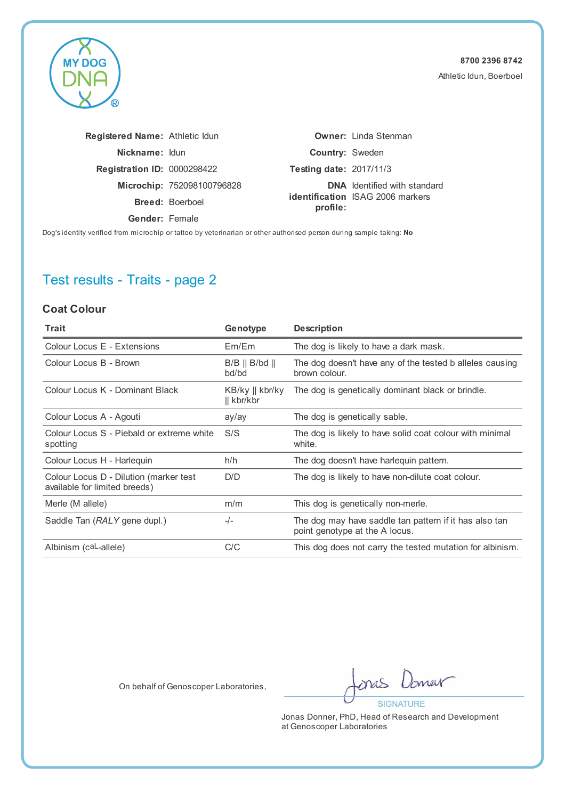

| <b>Registered Name: Athletic Idun</b> |                                                                                                                |                                | <b>Owner: Linda Stenman</b>             |
|---------------------------------------|----------------------------------------------------------------------------------------------------------------|--------------------------------|-----------------------------------------|
| Nickname: Idun                        |                                                                                                                | <b>Country: Sweden</b>         |                                         |
| <b>Registration ID: 0000298422</b>    |                                                                                                                | <b>Testing date: 2017/11/3</b> |                                         |
|                                       | Microchip: 752098100796828                                                                                     |                                | <b>DNA</b> Identified with standard     |
|                                       | <b>Breed: Boerboel</b>                                                                                         | profile:                       | <b>identification</b> ISAG 2006 markers |
| Gender: Female                        |                                                                                                                |                                |                                         |
|                                       | thiricalled form article electronication billiard and an experience and end and announcemental reaches to be a |                                |                                         |

Dog's identity verified from microchip or tattoo by veterinarian or other authorised person during sample taking: **No**

# Test results - Traits - page 2

#### **Coat Colour**

| Trait                                                                   | Genotype                                        | <b>Description</b>                                                                       |
|-------------------------------------------------------------------------|-------------------------------------------------|------------------------------------------------------------------------------------------|
| Colour Locus E - Extensions                                             | Em/Em                                           | The dog is likely to have a dark mask.                                                   |
| Colour Locus B - Brown                                                  | $B/B \parallel B/bd \parallel$<br>bd/bd         | The dog doesn't have any of the tested b alleles causing<br>brown colour.                |
| Colour Locus K - Dominant Black                                         | $KB/ky \parallel kbr/ky$<br>$\parallel$ kbr/kbr | The dog is genetically dominant black or brindle.                                        |
| Colour Locus A - Agouti                                                 | ay/ay                                           | The dog is genetically sable.                                                            |
| Colour Locus S - Piebald or extreme white<br>spotting                   | S/S                                             | The dog is likely to have solid coat colour with minimal<br>white.                       |
| Colour Locus H - Harlequin                                              | h/h                                             | The dog doesn't have harlequin pattern.                                                  |
| Colour Locus D - Dilution (marker test<br>available for limited breeds) | D/D                                             | The dog is likely to have non-dilute coat colour.                                        |
| Merle (M allele)                                                        | m/m                                             | This dog is genetically non-merle.                                                       |
| Saddle Tan (RALY gene dupl.)                                            | $-/-$                                           | The dog may have saddle tan pattern if it has also tan<br>point genotype at the A locus. |
| Albinism (caL-allele)                                                   | C/C                                             | This dog does not carry the tested mutation for albinism.                                |

On behalf of Genoscoper Laboratories,

merr ones **SIGNATURE**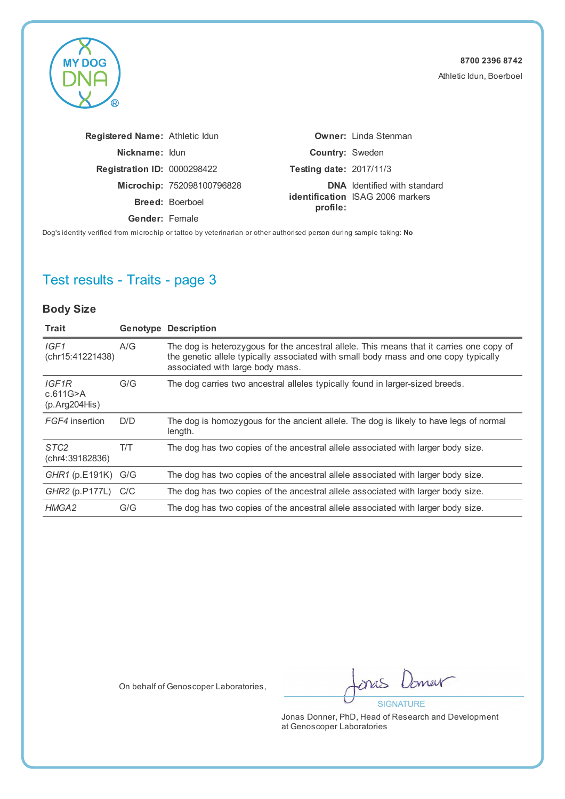

| Registered Name: Athletic Idun                                                                                       |                            |                                | <b>Owner:</b> Linda Stenman             |
|----------------------------------------------------------------------------------------------------------------------|----------------------------|--------------------------------|-----------------------------------------|
| Nickname: Idun                                                                                                       |                            | <b>Country: Sweden</b>         |                                         |
| <b>Registration ID: 0000298422</b>                                                                                   |                            | <b>Testing date: 2017/11/3</b> |                                         |
|                                                                                                                      | Microchip: 752098100796828 |                                | <b>DNA</b> Identified with standard     |
|                                                                                                                      | <b>Breed: Boerboel</b>     | profile:                       | <b>identification</b> ISAG 2006 markers |
| Gender: Female                                                                                                       |                            |                                |                                         |
| Dog's identity verified from microchip or tattoo by veterinarian or other authorised person during sample taking: No |                            |                                |                                         |

# Test results - Traits - page 3

### **Body Size**

| Trait                               |     | <b>Genotype Description</b>                                                                                                                                                                                         |
|-------------------------------------|-----|---------------------------------------------------------------------------------------------------------------------------------------------------------------------------------------------------------------------|
| IGF1<br>(chr15:41221438)            | A/G | The dog is heterozygous for the ancestral allele. This means that it carries one copy of<br>the genetic allele typically associated with small body mass and one copy typically<br>associated with large body mass. |
| IGF1R<br>c.611G>A<br>(p. Arg204His) | G/G | The dog carries two ancestral alleles typically found in larger-sized breeds.                                                                                                                                       |
| FGF4 insertion                      | D/D | The dog is homozygous for the ancient allele. The dog is likely to have legs of normal<br>length.                                                                                                                   |
| STC <sub>2</sub><br>(chr4:39182836) | T/T | The dog has two copies of the ancestral allele associated with larger body size.                                                                                                                                    |
| GHR1 (p.E191K) G/G                  |     | The dog has two copies of the ancestral allele associated with larger body size.                                                                                                                                    |
| GHR2 (p.P177L) C/C                  |     | The dog has two copies of the ancestral allele associated with larger body size.                                                                                                                                    |
| HMGA2                               | G/G | The dog has two copies of the ancestral allele associated with larger body size.                                                                                                                                    |

On behalf of Genoscoper Laboratories,

new nas **SIGNATURE**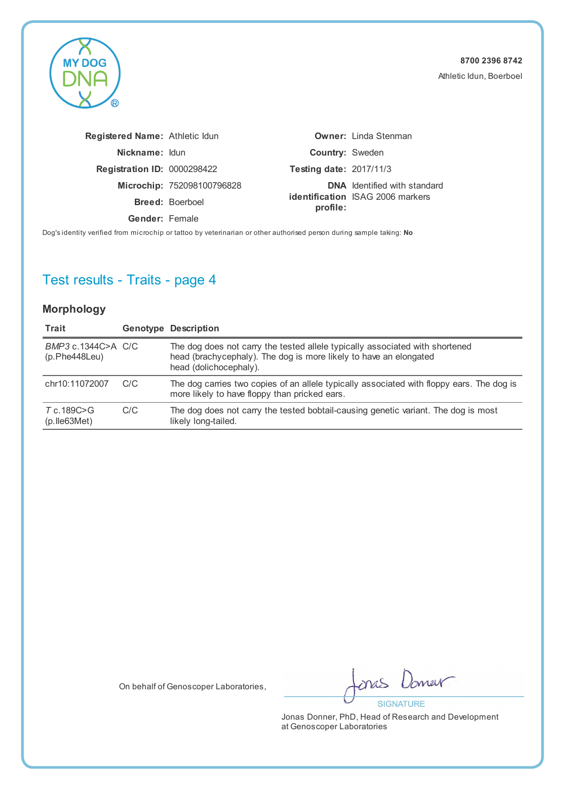

| <b>Registered Name: Athletic Idun</b> |                                                                                                      |                                | <b>Owner:</b> Linda Stenman             |
|---------------------------------------|------------------------------------------------------------------------------------------------------|--------------------------------|-----------------------------------------|
| Nickname: Idun                        |                                                                                                      | <b>Country: Sweden</b>         |                                         |
| <b>Registration ID: 0000298422</b>    |                                                                                                      | <b>Testing date: 2017/11/3</b> |                                         |
|                                       | Microchip: 752098100796828                                                                           |                                | <b>DNA</b> Identified with standard     |
|                                       | <b>Breed: Boerboel</b>                                                                               | profile:                       | <b>identification</b> ISAG 2006 markers |
| Gender: Female                        |                                                                                                      |                                |                                         |
|                                       | itu waifiad feam miamabin astattaa bu watasinasian asathas authasiaad naman dusing campla talingu Ne |                                |                                         |

Dog's identity verified from microchip or tattoo by veterinarian or other authorised person during sample taking: **No**

# Test results - Traits - page 4

#### **Morphology**

| Trait                                |     | <b>Genotype Description</b>                                                                                                                                                 |
|--------------------------------------|-----|-----------------------------------------------------------------------------------------------------------------------------------------------------------------------------|
| BMP3 c.1344C>A C/C<br>(p.Phe448Leu)  |     | The dog does not carry the tested allele typically associated with shortened<br>head (brachycephaly). The dog is more likely to have an elongated<br>head (dolichocephaly). |
| chr10:11072007                       | C/C | The dog carries two copies of an allele typically associated with floppy ears. The dog is<br>more likely to have floppy than pricked ears.                                  |
| T c.189C>G<br>$(p.$ lle $63$ Met $)$ | C/C | The dog does not carry the tested bobtail-causing genetic variant. The dog is most<br>likely long-tailed.                                                                   |

On behalf of Genoscoper Laboratories,

merr onas **SIGNATURE**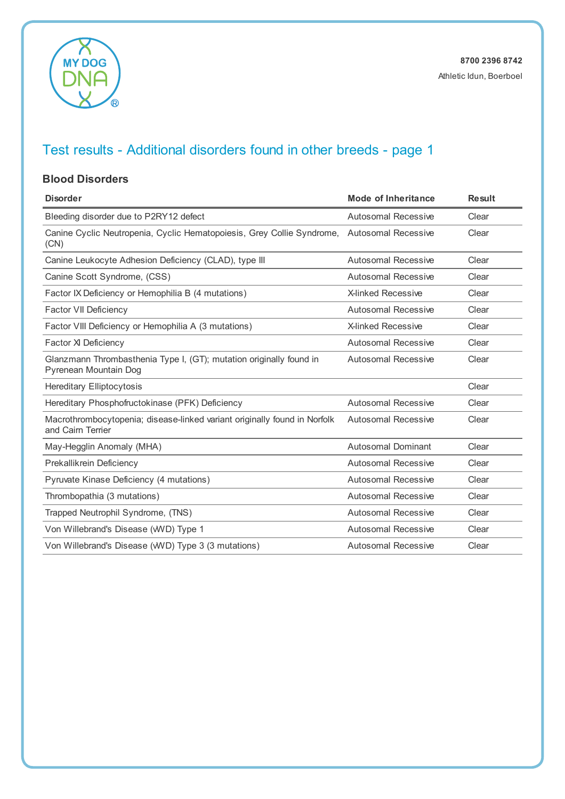

#### **Blood Disorders**

| <b>Disorder</b>                                                                                | <b>Mode of Inheritance</b> | <b>Result</b> |
|------------------------------------------------------------------------------------------------|----------------------------|---------------|
| Bleeding disorder due to P2RY12 defect                                                         | <b>Autosomal Recessive</b> | Clear         |
| Canine Cyclic Neutropenia, Cyclic Hematopoiesis, Grey Collie Syndrome,<br>(CN)                 | <b>Autosomal Recessive</b> | Clear         |
| Canine Leukocyte Adhesion Deficiency (CLAD), type III                                          | Autosomal Recessive        | Clear         |
| Canine Scott Syndrome, (CSS)                                                                   | <b>Autosomal Recessive</b> | Clear         |
| Factor IX Deficiency or Hemophilia B (4 mutations)                                             | X-linked Recessive         | Clear         |
| Factor VII Deficiency                                                                          | Autosomal Recessive        | Clear         |
| Factor VIII Deficiency or Hemophilia A (3 mutations)                                           | <b>X-linked Recessive</b>  | Clear         |
| Factor XI Deficiency                                                                           | Autosomal Recessive        | Clear         |
| Glanzmann Thrombasthenia Type I, (GT); mutation originally found in<br>Pyrenean Mountain Dog   | <b>Autosomal Recessive</b> | Clear         |
| <b>Hereditary Elliptocytosis</b>                                                               |                            | Clear         |
| Hereditary Phosphofructokinase (PFK) Deficiency                                                | Autosomal Recessive        | Clear         |
| Macrothrombocytopenia; disease-linked variant originally found in Norfolk<br>and Cairn Terrier | <b>Autosomal Recessive</b> | Clear         |
| May-Hegglin Anomaly (MHA)                                                                      | <b>Autosomal Dominant</b>  | Clear         |
| Prekallikrein Deficiency                                                                       | Autosomal Recessive        | Clear         |
| Pyruvate Kinase Deficiency (4 mutations)                                                       | <b>Autosomal Recessive</b> | Clear         |
| Thrombopathia (3 mutations)                                                                    | <b>Autosomal Recessive</b> | Clear         |
| Trapped Neutrophil Syndrome, (TNS)                                                             | <b>Autosomal Recessive</b> | Clear         |
| Von Willebrand's Disease (WVD) Type 1                                                          | <b>Autosomal Recessive</b> | Clear         |
| Von Willebrand's Disease (WVD) Type 3 (3 mutations)                                            | Autosomal Recessive        | Clear         |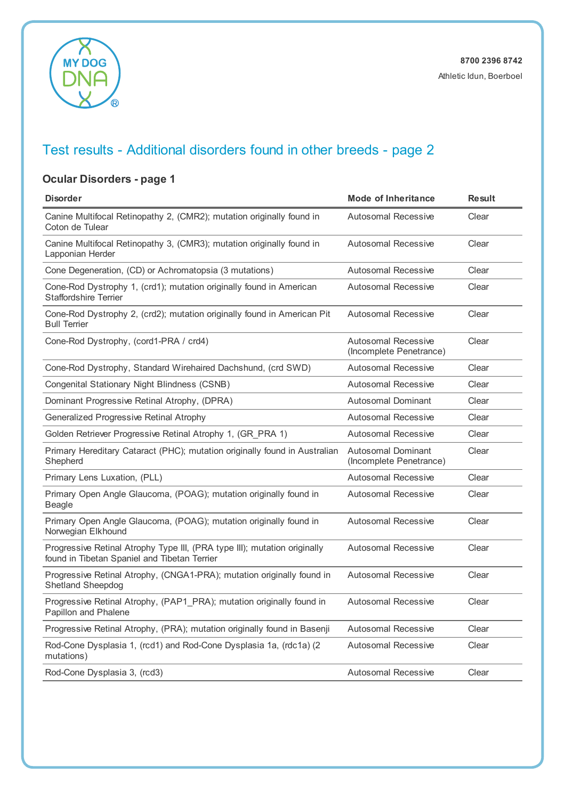

### **Ocular Disorders - page 1**

| <b>Disorder</b>                                                                                                           | <b>Mode of Inheritance</b>                            | <b>Result</b> |
|---------------------------------------------------------------------------------------------------------------------------|-------------------------------------------------------|---------------|
| Canine Multifocal Retinopathy 2, (CMR2); mutation originally found in<br>Coton de Tulear                                  | <b>Autosomal Recessive</b>                            | Clear         |
| Canine Multifocal Retinopathy 3, (CMR3); mutation originally found in<br>Lapponian Herder                                 | <b>Autosomal Recessive</b>                            | Clear         |
| Cone Degeneration, (CD) or Achromatopsia (3 mutations)                                                                    | <b>Autosomal Recessive</b>                            | Clear         |
| Cone-Rod Dystrophy 1, (crd1); mutation originally found in American<br><b>Staffordshire Terrier</b>                       | <b>Autosomal Recessive</b>                            | Clear         |
| Cone-Rod Dystrophy 2, (crd2); mutation originally found in American Pit<br><b>Bull Terrier</b>                            | Autosomal Recessive                                   | Clear         |
| Cone-Rod Dystrophy, (cord1-PRA / crd4)                                                                                    | <b>Autosomal Recessive</b><br>(Incomplete Penetrance) | Clear         |
| Cone-Rod Dystrophy, Standard Wirehaired Dachshund, (crd SWD)                                                              | Autosomal Recessive                                   | Clear         |
| Congenital Stationary Night Blindness (CSNB)                                                                              | <b>Autosomal Recessive</b>                            | Clear         |
| Dominant Progressive Retinal Atrophy, (DPRA)                                                                              | <b>Autosomal Dominant</b>                             | Clear         |
| Generalized Progressive Retinal Atrophy                                                                                   | <b>Autosomal Recessive</b>                            | Clear         |
| Golden Retriever Progressive Retinal Atrophy 1, (GR_PRA 1)                                                                | Autosomal Recessive                                   | Clear         |
| Primary Hereditary Cataract (PHC); mutation originally found in Australian<br>Shepherd                                    | <b>Autosomal Dominant</b><br>(Incomplete Penetrance)  | Clear         |
| Primary Lens Luxation, (PLL)                                                                                              | <b>Autosomal Recessive</b>                            | Clear         |
| Primary Open Angle Glaucoma, (POAG); mutation originally found in<br>Beagle                                               | <b>Autosomal Recessive</b>                            | Clear         |
| Primary Open Angle Glaucoma, (POAG); mutation originally found in<br>Norwegian Elkhound                                   | <b>Autosomal Recessive</b>                            | Clear         |
| Progressive Retinal Atrophy Type III, (PRA type III); mutation originally<br>found in Tibetan Spaniel and Tibetan Terrier | <b>Autosomal Recessive</b>                            | Clear         |
| Progressive Retinal Atrophy, (CNGA1-PRA); mutation originally found in<br><b>Shetland Sheepdog</b>                        | <b>Autosomal Recessive</b>                            | Clear         |
| Progressive Retinal Atrophy, (PAP1_PRA); mutation originally found in<br>Papillon and Phalene                             | <b>Autosomal Recessive</b>                            | Clear         |
| Progressive Retinal Atrophy, (PRA); mutation originally found in Basenji                                                  | <b>Autosomal Recessive</b>                            | Clear         |
| Rod-Cone Dysplasia 1, (rcd1) and Rod-Cone Dysplasia 1a, (rdc1a) (2<br>mutations)                                          | <b>Autosomal Recessive</b>                            | Clear         |
| Rod-Cone Dysplasia 3, (rcd3)                                                                                              | Autosomal Recessive                                   | Clear         |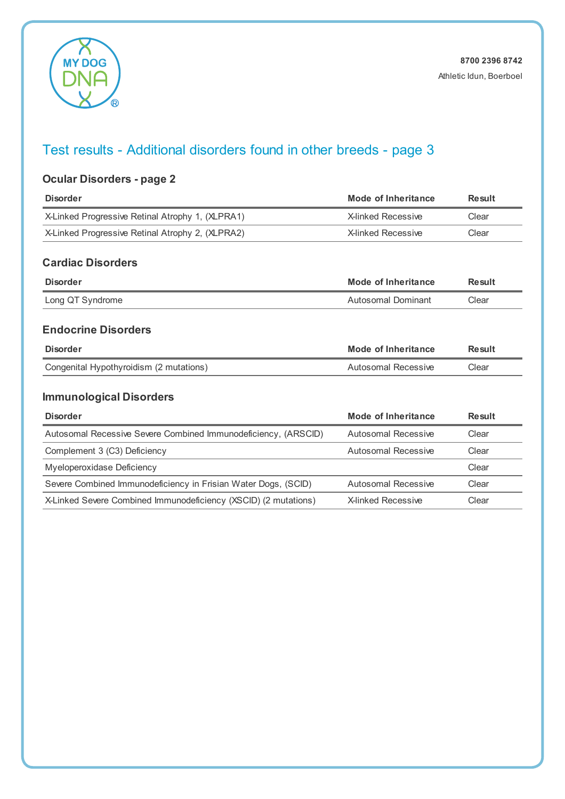

### **Ocular Disorders - page 2**

| <b>Disorder</b>                                                 | <b>Mode of Inheritance</b> | <b>Result</b> |
|-----------------------------------------------------------------|----------------------------|---------------|
| X-Linked Progressive Retinal Atrophy 1, (XLPRA1)                | <b>X-linked Recessive</b>  | Clear         |
| X-Linked Progressive Retinal Atrophy 2, (XLPRA2)                | <b>X-linked Recessive</b>  | Clear         |
| <b>Cardiac Disorders</b>                                        |                            |               |
| <b>Disorder</b>                                                 | Mode of Inheritance        | <b>Result</b> |
| Long QT Syndrome                                                | Autosomal Dominant         | Clear         |
| <b>Endocrine Disorders</b>                                      |                            |               |
| <b>Disorder</b>                                                 | Mode of Inheritance        | <b>Result</b> |
| Congenital Hypothyroidism (2 mutations)                         | Autosomal Recessive        | Clear         |
| <b>Immunological Disorders</b>                                  |                            |               |
| <b>Disorder</b>                                                 | Mode of Inheritance        | <b>Result</b> |
| Autosomal Recessive Severe Combined Immunodeficiency, (ARSCID)  | Autosomal Recessive        | Clear         |
| Complement 3 (C3) Deficiency                                    | Autosomal Recessive        | Clear         |
| Myeloperoxidase Deficiency                                      |                            | Clear         |
| Severe Combined Immunodeficiency in Frisian Water Dogs, (SCID)  | <b>Autosomal Recessive</b> | Clear         |
| X-Linked Severe Combined Immunodeficiency (XSCID) (2 mutations) | <b>X-linked Recessive</b>  | Clear         |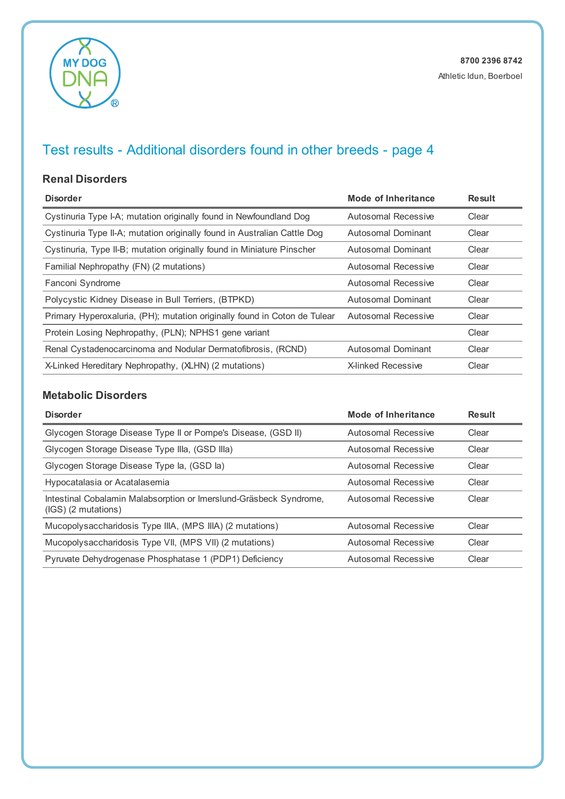

#### **Renal Disorders**

| <b>Disorder</b>                                                           | <b>Mode of Inheritance</b> | <b>Result</b> |
|---------------------------------------------------------------------------|----------------------------|---------------|
| Cystinuria Type I-A; mutation originally found in Newfoundland Dog        | Autosomal Recessive        | Clear         |
| Cystinuria Type II-A; mutation originally found in Australian Cattle Dog  | Autosomal Dominant         | Clear         |
| Cystinuria, Type II-B; mutation originally found in Miniature Pinscher    | Autosomal Dominant         | Clear         |
| Familial Nephropathy (FN) (2 mutations)                                   | Autosomal Recessive        | Clear         |
| Fanconi Syndrome                                                          | Autosomal Recessive        | Clear         |
| Polycystic Kidney Disease in Bull Terriers, (BTPKD)                       | Autosomal Dominant         | Clear         |
| Primary Hyperoxaluria, (PH); mutation originally found in Coton de Tulear | Autosomal Recessive        | Clear         |
| Protein Losing Nephropathy, (PLN); NPHS1 gene variant                     |                            | Clear         |
| Renal Cystadenocarcinoma and Nodular Dermatofibrosis, (RCND)              | Autosomal Dominant         | Clear         |
| X-Linked Hereditary Nephropathy, (XLHN) (2 mutations)                     | <b>X-linked Recessive</b>  | Clear         |

### **Metabolic Disorders**

| <b>Disorder</b>                                                                             | Mode of Inheritance | <b>Result</b> |
|---------------------------------------------------------------------------------------------|---------------------|---------------|
| Glycogen Storage Disease Type II or Pompe's Disease, (GSD II)                               | Autosomal Recessive | Clear         |
| Glycogen Storage Disease Type Illa, (GSD Illa)                                              | Autosomal Recessive | Clear         |
| Glycogen Storage Disease Type la, (GSD la)                                                  | Autosomal Recessive | Clear         |
| Hypocatalasia or Acatalasemia                                                               | Autosomal Recessive | Clear         |
| Intestinal Cobalamin Malabsorption or Imerslund-Gräsbeck Syndrome,<br>$(IGS)$ (2 mutations) | Autosomal Recessive | Clear         |
| Mucopolysaccharidosis Type IIIA, (MPS IIIA) (2 mutations)                                   | Autosomal Recessive | Clear         |
| Mucopolysaccharidosis Type VII, (MPS VII) (2 mutations)                                     | Autosomal Recessive | Clear         |
| Pyruvate Dehydrogenase Phosphatase 1 (PDP1) Deficiency                                      | Autosomal Recessive | Clear         |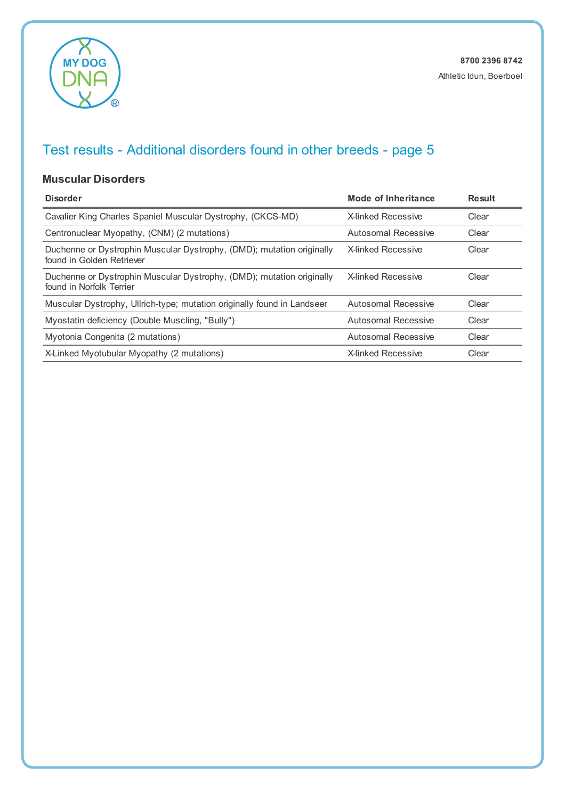

#### **Muscular Disorders**

| <b>Disorder</b>                                                                                    | Mode of Inheritance       | <b>Result</b> |
|----------------------------------------------------------------------------------------------------|---------------------------|---------------|
| Cavalier King Charles Spaniel Muscular Dystrophy, (CKCS-MD)                                        | <b>X-linked Recessive</b> | Clear         |
| Centronuclear Myopathy, (CNM) (2 mutations)                                                        | Autosomal Recessive       | Clear         |
| Duchenne or Dystrophin Muscular Dystrophy, (DMD); mutation originally<br>found in Golden Retriever | <b>X-linked Recessive</b> | Clear         |
| Duchenne or Dystrophin Muscular Dystrophy, (DMD); mutation originally<br>found in Norfolk Terrier  | <b>X-linked Recessive</b> | Clear         |
| Muscular Dystrophy, Ullrich-type; mutation originally found in Landseer                            | Autosomal Recessive       | Clear         |
| Myostatin deficiency (Double Muscling, "Bully")                                                    | Autosomal Recessive       | Clear         |
| Myotonia Congenita (2 mutations)                                                                   | Autosomal Recessive       | Clear         |
| X-Linked Myotubular Myopathy (2 mutations)                                                         | <b>X-linked Recessive</b> | Clear         |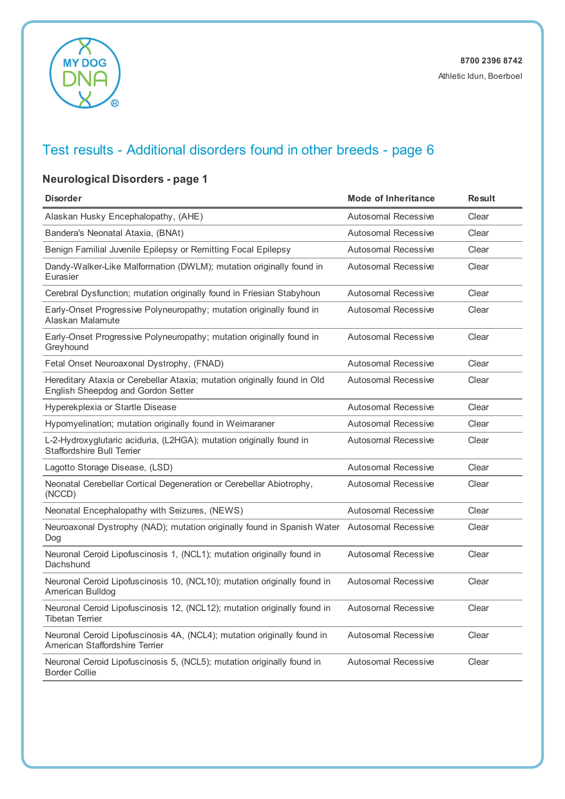

### **Neurological Disorders - page 1**

| <b>Disorder</b>                                                                                                | <b>Mode of Inheritance</b> | <b>Result</b> |
|----------------------------------------------------------------------------------------------------------------|----------------------------|---------------|
| Alaskan Husky Encephalopathy, (AHE)                                                                            | <b>Autosomal Recessive</b> | Clear         |
| Bandera's Neonatal Ataxia, (BNAt)                                                                              | <b>Autosomal Recessive</b> | Clear         |
| Benign Familial Juvenile Epilepsy or Remitting Focal Epilepsy                                                  | <b>Autosomal Recessive</b> | Clear         |
| Dandy-Walker-Like Malformation (DWLM); mutation originally found in<br>Eurasier                                | <b>Autosomal Recessive</b> | Clear         |
| Cerebral Dysfunction; mutation originally found in Friesian Stabyhoun                                          | Autosomal Recessive        | Clear         |
| Early-Onset Progressive Polyneuropathy; mutation originally found in<br>Alaskan Malamute                       | <b>Autosomal Recessive</b> | Clear         |
| Early-Onset Progressive Polyneuropathy; mutation originally found in<br>Greyhound                              | <b>Autosomal Recessive</b> | Clear         |
| Fetal Onset Neuroaxonal Dystrophy, (FNAD)                                                                      | <b>Autosomal Recessive</b> | Clear         |
| Hereditary Ataxia or Cerebellar Ataxia; mutation originally found in Old<br>English Sheepdog and Gordon Setter | <b>Autosomal Recessive</b> | Clear         |
| Hyperekplexia or Startle Disease                                                                               | <b>Autosomal Recessive</b> | Clear         |
| Hypomyelination; mutation originally found in Weimaraner                                                       | <b>Autosomal Recessive</b> | Clear         |
| L-2-Hydroxyglutaric aciduria, (L2HGA); mutation originally found in<br><b>Staffordshire Bull Terrier</b>       | <b>Autosomal Recessive</b> | Clear         |
| Lagotto Storage Disease, (LSD)                                                                                 | <b>Autosomal Recessive</b> | Clear         |
| Neonatal Cerebellar Cortical Degeneration or Cerebellar Abiotrophy,<br>(NCCD)                                  | Autosomal Recessive        | Clear         |
| Neonatal Encephalopathy with Seizures, (NEWS)                                                                  | <b>Autosomal Recessive</b> | Clear         |
| Neuroaxonal Dystrophy (NAD); mutation originally found in Spanish Water Autosomal Recessive<br>Dog             |                            | Clear         |
| Neuronal Ceroid Lipofuscinosis 1, (NCL1); mutation originally found in<br>Dachshund                            | <b>Autosomal Recessive</b> | Clear         |
| Neuronal Ceroid Lipofuscinosis 10, (NCL10); mutation originally found in<br>American Bulldog                   | <b>Autosomal Recessive</b> | Clear         |
| Neuronal Ceroid Lipofuscinosis 12, (NCL12); mutation originally found in<br><b>Tibetan Terrier</b>             | <b>Autosomal Recessive</b> | Clear         |
| Neuronal Ceroid Lipofuscinosis 4A, (NCL4); mutation originally found in<br>American Staffordshire Terrier      | Autosomal Recessive        | Clear         |
| Neuronal Ceroid Lipofuscinosis 5, (NCL5); mutation originally found in<br><b>Border Collie</b>                 | <b>Autosomal Recessive</b> | Clear         |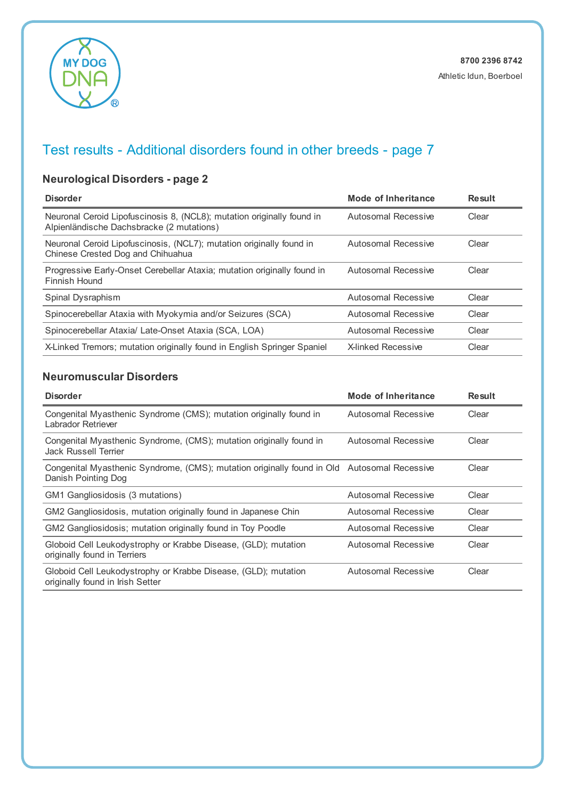

### **Neurological Disorders - page 2**

| <b>Disorder</b>                                                                                                     | Mode of Inheritance       | <b>Result</b> |
|---------------------------------------------------------------------------------------------------------------------|---------------------------|---------------|
| Neuronal Ceroid Lipofuscinosis 8, (NCL8); mutation originally found in<br>Alpienländische Dachsbracke (2 mutations) | Autosomal Recessive       | Clear         |
| Neuronal Ceroid Lipofuscinosis, (NCL7); mutation originally found in<br>Chinese Crested Dog and Chihuahua           | Autosomal Recessive       | Clear         |
| Progressive Early-Onset Cerebellar Ataxia; mutation originally found in<br>Finnish Hound                            | Autosomal Recessive       | Clear         |
| Spinal Dysraphism                                                                                                   | Autosomal Recessive       | Clear         |
| Spinocerebellar Ataxia with Myokymia and/or Seizures (SCA)                                                          | Autosomal Recessive       | Clear         |
| Spinocerebellar Ataxia/ Late-Onset Ataxia (SCA, LOA)                                                                | Autosomal Recessive       | Clear         |
| X-Linked Tremors; mutation originally found in English Springer Spaniel                                             | <b>X-linked Recessive</b> | Clear         |

#### **Neuromuscular Disorders**

| <b>Disorder</b>                                                                                                    | Mode of Inheritance | <b>Result</b> |
|--------------------------------------------------------------------------------------------------------------------|---------------------|---------------|
| Congenital Myasthenic Syndrome (CMS); mutation originally found in<br>Labrador Retriever                           | Autosomal Recessive | Clear         |
| Congenital Myasthenic Syndrome, (CMS); mutation originally found in<br>Jack Russell Terrier                        | Autosomal Recessive | Clear         |
| Congenital Myasthenic Syndrome, (CMS); mutation originally found in Old Autosomal Recessive<br>Danish Pointing Dog |                     | Clear         |
| GM1 Gangliosidosis (3 mutations)                                                                                   | Autosomal Recessive | Clear         |
| GM2 Gangliosidosis, mutation originally found in Japanese Chin                                                     | Autosomal Recessive | Clear         |
| GM2 Gangliosidosis; mutation originally found in Toy Poodle                                                        | Autosomal Recessive | Clear         |
| Globoid Cell Leukodystrophy or Krabbe Disease, (GLD); mutation<br>originally found in Terriers                     | Autosomal Recessive | Clear         |
| Globoid Cell Leukodystrophy or Krabbe Disease, (GLD); mutation<br>originally found in Irish Setter                 | Autosomal Recessive | Clear         |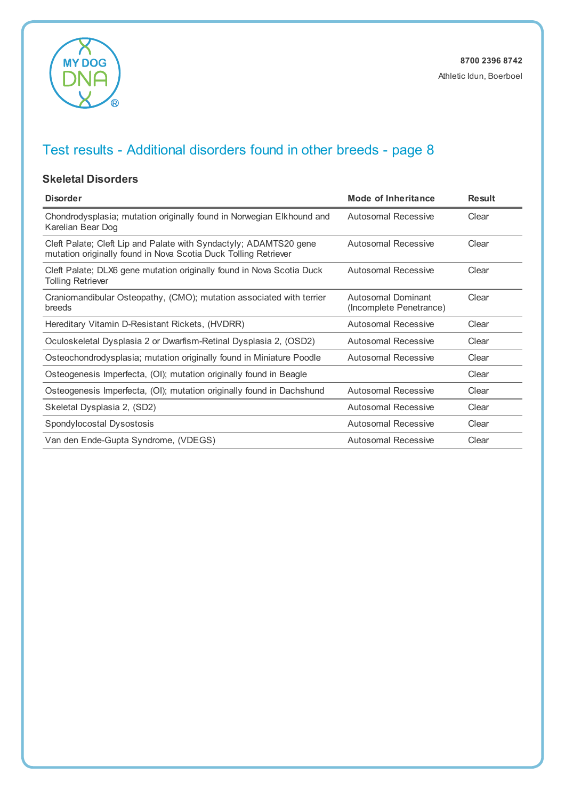

#### **Skeletal Disorders**

| <b>Disorder</b>                                                                                                                      | Mode of Inheritance                           | <b>Result</b> |
|--------------------------------------------------------------------------------------------------------------------------------------|-----------------------------------------------|---------------|
| Chondrodysplasia; mutation originally found in Norwegian Elkhound and<br>Karelian Bear Dog                                           | Autosomal Recessive                           | Clear         |
| Cleft Palate; Cleft Lip and Palate with Syndactyly; ADAMTS20 gene<br>mutation originally found in Nova Scotia Duck Tolling Retriever | Autosomal Recessive                           | Clear         |
| Cleft Palate; DLX6 gene mutation originally found in Nova Scotia Duck<br><b>Tolling Retriever</b>                                    | Autosomal Recessive                           | Clear         |
| Craniomandibular Osteopathy, (CMO); mutation associated with terrier<br>breeds                                                       | Autosomal Dominant<br>(Incomplete Penetrance) | Clear         |
| Hereditary Vitamin D-Resistant Rickets, (HVDRR)                                                                                      | Autosomal Recessive                           | Clear         |
| Oculoskeletal Dysplasia 2 or Dwarfism-Retinal Dysplasia 2, (OSD2)                                                                    | Autosomal Recessive                           | Clear         |
| Osteochondrodysplasia; mutation originally found in Miniature Poodle                                                                 | Autosomal Recessive                           | Clear         |
| Osteogenesis Imperfecta, (OI); mutation originally found in Beagle                                                                   |                                               | Clear         |
| Osteogenesis Imperfecta, (OI); mutation originally found in Dachshund                                                                | Autosomal Recessive                           | Clear         |
| Skeletal Dysplasia 2, (SD2)                                                                                                          | Autosomal Recessive                           | Clear         |
| Spondylocostal Dysostosis                                                                                                            | Autosomal Recessive                           | Clear         |
| Van den Ende-Gupta Syndrome, (VDEGS)                                                                                                 | Autosomal Recessive                           | Clear         |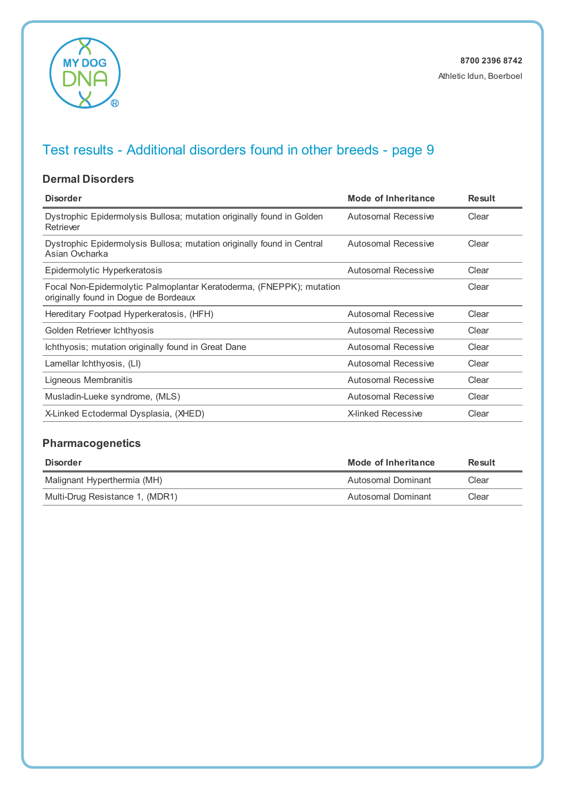

#### **Dermal Disorders**

| <b>Disorder</b>                                                                                               | Mode of Inheritance        | <b>Result</b> |
|---------------------------------------------------------------------------------------------------------------|----------------------------|---------------|
| Dystrophic Epidermolysis Bullosa; mutation originally found in Golden<br>Retriever                            | <b>Autosomal Recessive</b> | Clear         |
| Dystrophic Epidermolysis Bullosa; mutation originally found in Central<br>Asian Ovcharka                      | Autosomal Recessive        | Clear         |
| Epidermolytic Hyperkeratosis                                                                                  | <b>Autosomal Recessive</b> | Clear         |
| Focal Non-Epidermolytic Palmoplantar Keratoderma, (FNEPPK); mutation<br>originally found in Dogue de Bordeaux |                            | Clear         |
| Hereditary Footpad Hyperkeratosis, (HFH)                                                                      | <b>Autosomal Recessive</b> | Clear         |
| Golden Retriever Ichthyosis                                                                                   | Autosomal Recessive        | Clear         |
| Ichthyosis; mutation originally found in Great Dane                                                           | Autosomal Recessive        | Clear         |
| Lamellar Ichthyosis, (LI)                                                                                     | Autosomal Recessive        | Clear         |
| Ligneous Membranitis                                                                                          | Autosomal Recessive        | Clear         |
| Musladin-Lueke syndrome, (MLS)                                                                                | Autosomal Recessive        | Clear         |
| X-Linked Ectodermal Dysplasia, (XHED)                                                                         | <b>X-linked Recessive</b>  | Clear         |

### **Pharmacogenetics**

| <b>Disorder</b>                 | Mode of Inheritance | Result |
|---------------------------------|---------------------|--------|
| Malignant Hyperthermia (MH)     | Autosomal Dominant  | Clear  |
| Multi-Drug Resistance 1, (MDR1) | Autosomal Dominant  | Clear  |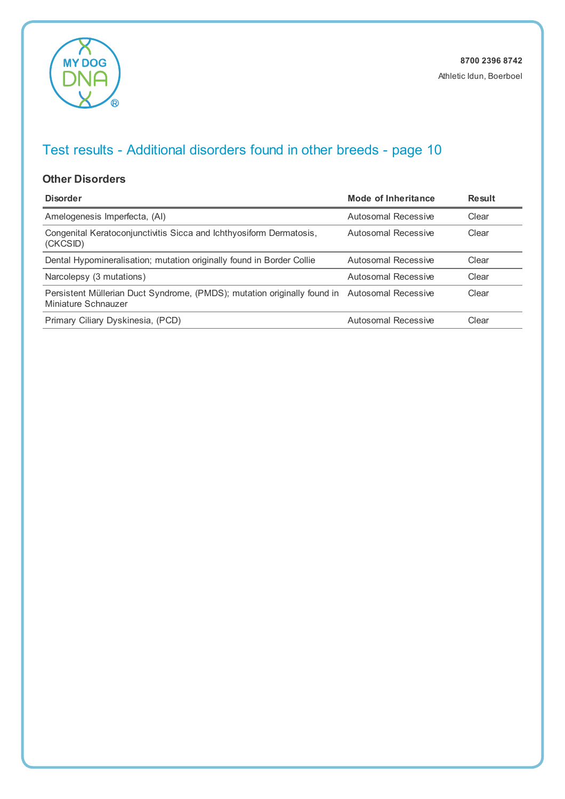

#### **Other Disorders**

| <b>Disorder</b>                                                                                                     | Mode of Inheritance | <b>Result</b> |
|---------------------------------------------------------------------------------------------------------------------|---------------------|---------------|
| Amelogenesis Imperfecta, (AI)                                                                                       | Autosomal Recessive | Clear         |
| Congenital Keratoconjunctivitis Sicca and Ichthyosiform Dermatosis,<br>(CKCSID)                                     | Autosomal Recessive | Clear         |
| Dental Hypomineralisation; mutation originally found in Border Collie                                               | Autosomal Recessive | Clear         |
| Narcolepsy (3 mutations)                                                                                            | Autosomal Recessive | Clear         |
| Persistent Müllerian Duct Syndrome, (PMDS); mutation originally found in Autosomal Recessive<br>Miniature Schnauzer |                     | Clear         |
| Primary Ciliary Dyskinesia, (PCD)                                                                                   | Autosomal Recessive | Clear         |